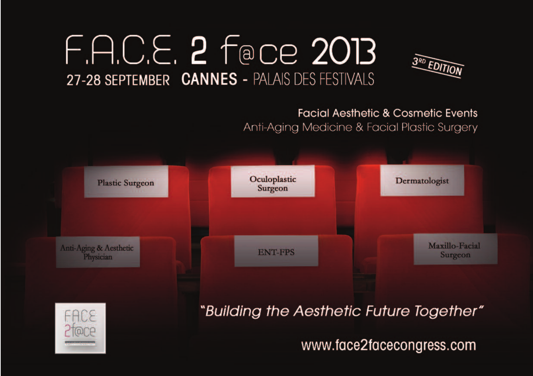# F.A.C.E. 2 Face 2013 27-28 SEPTEMBER CANNES - PALAIS DES FESTIVALS



## **Facial Aesthetic & Cosmetic Events** Anti-Aging Medicine & Facial Plastic Surgery

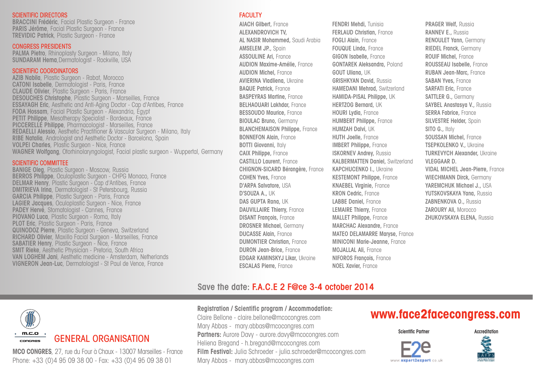#### SCIENTIFIC DIRECTORS

**BRACCINI Frédéric**, Facial Plastic Surgeon - France **PARIS Jérôme**, Facial Plastic Surgeon - France **TREVIDIC Patrick**, Plastic Surgeon - France

#### CONGRESS PRESIDENTS

**PALMA Pietro**, Rhinoplasty Surgeon - Milano, Italy **SUNDARAM Hema**,Dermatologist - Rockville, USA

#### SCIENTIFIC COORDINATORS

**AZIB Nabila**, Plastic Surgeon - Rabat, Morocco **CATONI Isabelle**, Dermatologist - Paris, France **CLAUDE Olivier**, Plastic Surgeon - Paris, France **DESOUCHES Christophe**, Plastic Surgeon - Marseilles, France **ESSAYAGH Eric**, Aesthetic and Anti-Aging Doctor - Cap d'Antibes, France **FODA Hossam**, Facial Plastic Surgeon - Alexandria, Egypt **PETIT Philippe**, Mesotherapy Specialist - Bordeaux, France **PICCERELLE Philippe**, Pharmacologist - Marseilles, France **REDAELLI Alessio**, Aesthetic Practitioner & Vascular Surgeon - Milano, Italy **RIBE Natalia**, Andrologist and Aesthetic Doctor - Barcelona, Spain **VOLPEI Charles**, Plastic Surgeon - Nice, France **WAGNER Wolfgang**, Otorhinolaryngologist, Facial plastic surgeon - Wuppertal, Germany

#### SCIENTIFIC COMMITTEE

**BANIGE Oleg**, Plastic Surgeon - Moscow, Russia **BERROS Philippe**, Oculoplastic Surgeon - CHPG Monaco, France **DELMAR Henry**, Plastic Surgeon - Cap d'Antibes, France **DMITRIEVA Irina**, Dermatologist - St Petersbourg, Russia **GARCIA Philippe**, Plastic Surgeon - Paris, France **LAGIER Jacques**, Oculoplastic Surgeon - Nice, France **PADEY Hervé**, Stomatologist - Cannes, France **PIOVANO Luca**, Plastic Surgeon - Roma, Italy **PLOT Eric**, Plastic Surgeon - Paris, France **QUINODOZ Pierre**, Plastic Surgeon - Geneva, Switzerland **RICHARD Olivier**, Maxillo Facial Surgeon - Marseilles, France **SABATIER Henry**, Plastic Surgeon - Nice, France **SMIT Rieke**, Aesthetic Physician - Pretoria, South Africa **VAN LOGHEM Jani**, Aesthetic medicine - Amsterdam, Netherlands **VIGNERON Jean-Luc**, Dermatologist - St Paul de Vence, France

#### **FACULTY**

**AIACH Gilbert,** France **ALEXANDROVICH TV, AL NASIR Mohammed,** Saudi Arabia **AMSELEM JP.,** Spain **ASSOULINE Ari,** France **AUDION Maxime-Amélie,** France **AUDION Michel,** France **AVIERINA Vladliena,** Ukraine **BAQUE Patrick,** France **BASPEYRAS Martine,** France **BELHAOUARI Lakhdar,** France **BESSOUDO Maurice,** France **BIOULAC Bruno,** Germany **BLANCHEMAISON Philippe,** France **BONNEFON Alain,** France **BOTTI Giovanni,** Italy **CAIX Philippe,** France **CASTILLO Laurent,** France **CHIGNON-SICARD Bérangère,** France **COHEN Yves,** France **D'ARPA Salvatore,** USA **D'SOUZA A.,** UK **DAS GUPTA Rana,** UK **DAUVILLAIRE Thierry,** France **DISANT François,** France **DROSNER Michael,** Germany **DUCASSE Alain,** France **DUMONTIER Christian,** France **DURON Jean-Brice,** France **EDGAR KAMINSKYJ Likar,** Ukraine **ESCALAS Pierre,** France

**FENDRI Mehdi,** Tunisia **FERLAUD Christian,** France **FOGLI Alain,** France **FOUQUE Linda,** France **GIGON Isabelle,** France **GONTAREK Aleksandra,** Poland **GOUT Uliana,** UK **GRISHKYAN David,** Russia **HAMEDANI Mehrad,** Switzerland **HAMIDA-PISAL Philippe,** UK **HERTZOG Bernard,** UK **HOURI Lydia,** France **HUMBERT Philippe,** France **HUMZAH Dalvi,** UK **HUTH Joelle,** France **IMBERT Philippe,** France **ISKORNEV Andrey,** Russia **KALBERMATTEN Daniel,** Switzerland **KAPCHUCENKO I.,** Ukraine **KESTEMONT Philippe,** France **KNAEBEL Virginie,** France **KRON Cedric,** France **LABBE Daniel,** France **LEMAIRE Thierry,** France **MALLET Philippe,** France **MARCHAC Alexandre,** France **MATEO DELAMARRE Maryse,** France **MINICONI Marie-Jeanne,** France **MOJALLAL Ali,** France **NIFOROS François,** France **NOEL Xavier,** France

**PRAGER Welf,** Russia **RANNEV E.,** Russia **RENOULET Yann,** Germany **RIEDEL Franck,** Germany **ROUIF Michel,** France **ROUSSEAU Isabelle,** France **RUBAN Jean-Marc,** France **SABAN Yves,** France **SARFATI Eric,** France **SATTLER G.,** Germany **SAYBEL Anastasya V.,** Russia **SERRA Fabrice,** France **SILVESTRE Helder,** Spain **SITO G.,** Italy **SOUSSAN Michel,** France **TSEPKOLENKO V.,** Ukraine **TURKEVYCH Alexander,** Ukraine **VLEGGAAR D. VIDAL MICHEL Jean-Pierre,** France **WIECHMANN Dirck,** Germany **YAREMCHUK Michael J.,** USA **YUTSKOVSKAYA Yana,** Russia **ZABNENKOVA O.,** Russia **ZAROURY Ali,** Morocco **ZHUKOVSKAYA ELENA,** Russia

### **Save the date: F.A.C.E 2 F@ce 3-4 october 2014**



## GENERAL ORGANISATION

**MCO CONGRES**, 27, rue du Four à Chaux - 13007 Marseilles - France Phone: +33 (0)4 95 09 38 00 - Fax: +33 (0)4 95 09 38 01

Claire Bellone - claire.bellone@mcocongres.com Mary Abbas - mary.abbas@mcocongres.com **Partners:** Aurore Davy - aurore.davy@mcocongres.com

**Registration / Scientific program / Accommodation:**

Heliena Bregand - h.bregand@mcocongres.com **Film Festival:** Julia Schroeder - julia.schroeder@mcocongres.com Mary Abbas - mary.abbas@mcocongres.com

## **www.face2facecongress.com**

**Scientific Partner Accreditation**



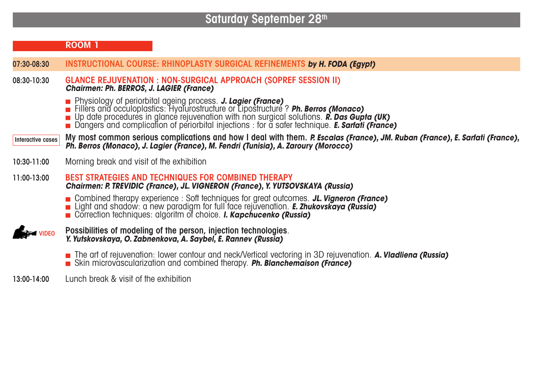# **Saturday September 28th**

|                   | ROOM 1                                                                                                                                                                                                                                                                                                                                                        |
|-------------------|---------------------------------------------------------------------------------------------------------------------------------------------------------------------------------------------------------------------------------------------------------------------------------------------------------------------------------------------------------------|
| 07:30-08:30       | INSTRUCTIONAL COURSE: RHINOPLASTY SURGICAL REFINEMENTS by H. FODA (Egypt)                                                                                                                                                                                                                                                                                     |
| 08:30-10:30       | GLANCE REJUVENATION : NON-SURGICAL APPROACH (SOPREF SESSION II)<br><b>Chairmen: Ph. BERROS, J. LAGIER (France)</b>                                                                                                                                                                                                                                            |
|                   | ■ Physiology of periorbital ageing process. J. Lagier (France)<br>■ Fillers and occuloplastics: Hyalurostructure or Lipostructure ? Ph. Berros (Monaco)<br>Up date procedures in glance rejuvenation with non surgical solutions. R. Das Gupta (UK)<br>Dangers and complication of periorbital injections : for a safer technique. <b>E. Sartati (France)</b> |
| Interactive cases | My most common serious complications and how I deal with them. P. Escalas (France), JM. Ruban (France), E. Sarfati (France),<br>Ph. Berros (Monaco), J. Lagier (France), M. Fendri (Tunisia), A. Zaroury (Morocco)                                                                                                                                            |
| 10:30-11:00       | Morning break and visit of the exhibition                                                                                                                                                                                                                                                                                                                     |
| 11:00-13:00       | <b>BEST STRATEGIES AND TECHNIQUES FOR COMBINED THERAPY</b><br>Chairmen: P. TREVIDIC (France), JL. VIGNERON (France), Y. YUTSOVSKAYA (Russia)                                                                                                                                                                                                                  |
|                   | ■ Combined therapy experience : Soft techniques for great outcomes. JL. Vigneron (France)<br>Light and shadow: a new paradigm for full face rejuvenation. E. Zhukovskaya (Russia)<br>Correction techniques: algoritm of choice. I. Kapchucenko (Russia)                                                                                                       |
| <b>VIDEO</b>      | Possibilities of modeling of the person, injection technologies.<br>Y. Yutskovskaya, O. Zabnenkova, A. Saybel, E. Rannev (Russia)                                                                                                                                                                                                                             |
|                   | The art of rejuvenation: lower contour and neck/Vertical vectoring in 3D rejuvenation. A. Viadliena (Russia)<br>Skin microvascularization and combined therapy. Ph. Blanchemaison (France)                                                                                                                                                                    |
| 13:00-14:00       | Lunch break & visit of the exhibition                                                                                                                                                                                                                                                                                                                         |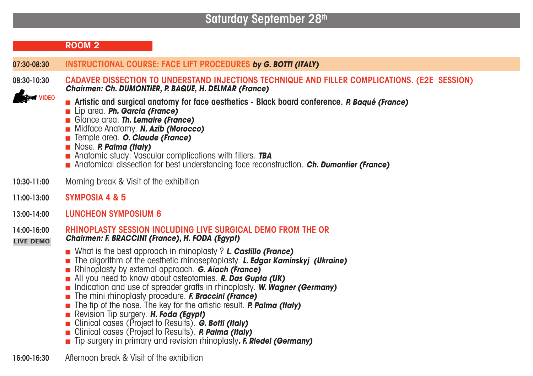# **Saturday September 28th**

|                                 | <b>ROOM 2</b>                                                                                                                                                                                                                                                                                                                                                                                                                                                                                                                                                                                                                                                                                                                                   |
|---------------------------------|-------------------------------------------------------------------------------------------------------------------------------------------------------------------------------------------------------------------------------------------------------------------------------------------------------------------------------------------------------------------------------------------------------------------------------------------------------------------------------------------------------------------------------------------------------------------------------------------------------------------------------------------------------------------------------------------------------------------------------------------------|
| 07:30-08:30                     | INSTRUCTIONAL COURSE: FACE LIFT PROCEDURES by G. BOTTI (ITALY)                                                                                                                                                                                                                                                                                                                                                                                                                                                                                                                                                                                                                                                                                  |
| 08:30-10:30<br><b>FM VIDEO</b>  | CADAVER DISSECTION TO UNDERSTAND INJECTIONS TECHNIQUE AND FILLER COMPLICATIONS. (E2E SESSION)<br>Chairmen: Ch. DUMONTIER, P. BAQUE, H. DELMAR (France)                                                                                                                                                                                                                                                                                                                                                                                                                                                                                                                                                                                          |
|                                 | Artistic and surgical anatomy for face aesthetics - Black board conference. P. Baqué (France)<br>Lip area. Ph. Garcia (France)<br>Glance area. Th. Lemaire (France)<br>Midface Anatomy. N. Azib (Morocco)<br>Temple area. O. Claude (France)<br>Nose. P. Palma (Italy)<br>Anatomic study: Vascular complications with fillers. TBA<br>Anatomical dissection for best understanding face reconstruction. Ch. Dumontier (France)                                                                                                                                                                                                                                                                                                                  |
| 10:30-11:00                     | Morning break & Visit of the exhibition                                                                                                                                                                                                                                                                                                                                                                                                                                                                                                                                                                                                                                                                                                         |
| 11:00-13:00                     | SYMPOSIA 4 & 5                                                                                                                                                                                                                                                                                                                                                                                                                                                                                                                                                                                                                                                                                                                                  |
| 13:00-14:00                     | <b>LUNCHEON SYMPOSIUM 6</b>                                                                                                                                                                                                                                                                                                                                                                                                                                                                                                                                                                                                                                                                                                                     |
| 14:00-16:00<br><b>LIVE DEMO</b> | <b>RHINOPLASTY SESSION INCLUDING LIVE SURGICAL DEMO FROM THE OR</b><br>Chairmen: F. BRACCINI (France), H. FODA (Egypt)                                                                                                                                                                                                                                                                                                                                                                                                                                                                                                                                                                                                                          |
|                                 | ■ What is the best approach in rhinoplasty ? L. Castillo (France)<br>The algorithm of the aesthetic rhinoseptoplasty. L. Edgar Kaminskyj (Ukraine)<br>Rhinoplasty by external approach. G. Aiach (France)<br>All you need to know about osteotomies. <b>R. Das Gupta (UK)</b><br>Indication and use of spreader grafts in rhinoplasty. W. Wagner (Germany)<br>The mini rhinoplasty procedure. F. Braccini (France)<br>The tip of the nose. The key for the artistic result. <b>P. Palma (Italy)</b><br>Revision Tip surgery. H. Foda (Egypt)<br>Clinical cases (Project to Results). G. Botti (Italy)<br>Clinical cases (Project to Results). <b>P. Palma (Italy)</b><br>■ Tip surgery in primary and revision rhinoplasty. F. Riedel (Germany) |
|                                 | $A \, B$ , and $A \, B \, B$ , and $B \, C \, C \, A \, C \, C \, B$ , and $B \, C \, B \, C \, C \, C \, C \, C \, D$                                                                                                                                                                                                                                                                                                                                                                                                                                                                                                                                                                                                                          |

**16:00-16:30** Afternoon break & Visit of the exhibition